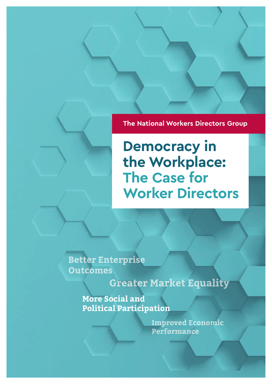**The National Workers Directors Group**

**Democracy in the Workplace: The Case for Worker Directors**

**Better Enterprise Outcomes** 

**Greater Market Equality** 

**More Social and Political Participation**

> **Improved Economic** Performance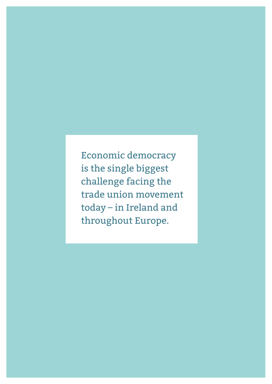Economic democracy is the single biggest challenge facing the trade union movement today – in Ireland and throughout Europe.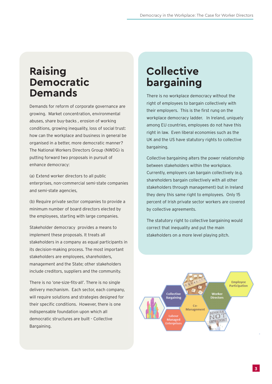#### **Raising Democratic Demands**

Demands for reform of corporate governance are growing. Market concentration, environmental abuses, share buy-backs , erosion of working conditions, growing inequality, loss of social trust: how can the workplace and business in general be organised in a better, more democratic manner? The National Workers Directors Group (NWDG) is putting forward two proposals in pursuit of enhance democracy:

(a) Extend worker directors to all public enterprises, non-commercial semi-state companies and semi-state agencies,

(b) Require private sector companies to provide a minimum number of board directors elected by the employees, starting with large companies.

Stakeholder democracy provides a means to implement these proposals. It treats all stakeholders in a company as equal participants in its decision-making process. The most important stakeholders are employees, shareholders, management and the State; other stakeholders include creditors, suppliers and the community.

There is no 'one-size-fits-all'. There is no single delivery mechanism. Each sector, each company, will require solutions and strategies designed for their specific conditions. However, there is one indispensable foundation upon which all democratic structures are built - Collective Bargaining.

## **Collective bargaining**

There is no workplace democracy without the right of employees to bargain collectively with their employers. This is the first rung on the workplace democracy ladder. In Ireland, uniquely among EU countries, employees do not have this right in law. Even liberal economies such as the UK and the US have statutory rights to collective bargaining.

Collective bargaining alters the power relationship between stakeholders within the workplace. Currently, employers can bargain collectively (e.g. shareholders bargain collectively with all other stakeholders through management) but in Ireland they deny this same right to employees. Only 15 percent of Irish private sector workers are covered by collective agreements.

The statutory right to collective bargaining would correct that inequality and put the main stakeholders on a more level playing pitch.

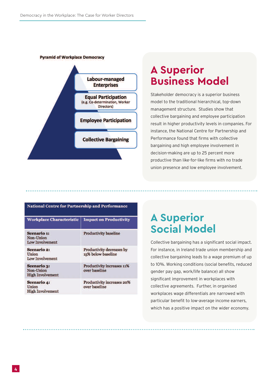**Pyramid of Workplace Democracy** 



#### **A Superior Business Model**

Stakeholder democracy is <sup>a</sup> superior business model to the traditional hierarchical, top-down management structure. Studies show that collective bargaining and employee participation result in higher productivity levels in companies. For instance, the National Centre for Partnership and Performance found that firms with collective bargaining and high employee involvement in decision-making are up to 25 percent more productive than like-for-like firms with no trade union presence and low employee involvement.

| <b>National Centre for Partnership and Performance</b>     |                                                    |  |
|------------------------------------------------------------|----------------------------------------------------|--|
| <b>Workplace Characteristic</b>                            | <b>Impact on Productivity</b>                      |  |
| <b>Scenario 1:</b><br>Non-Union<br><b>Low Involvement</b>  | <b>Productivity baseline</b>                       |  |
| <b>Scenario 2:</b><br>Union<br>Low Involvement             | Productivity decreases by<br>15% below baseline    |  |
| <b>Scenario 3:</b><br>Non-Union<br><b>High Involvement</b> | <b>Productivity increases 11%</b><br>over baseline |  |
| <b>Scenario 4:</b><br>Union<br><b>High Involvement</b>     | <b>Productivity increases 20%</b><br>over baseline |  |

#### **A Superior Social Model**

Collective bargaining has <sup>a</sup> significant social impact. For instance, in Ireland trade union membership and collective bargaining leads to <sup>a</sup> wage premium of up to 10%. Working conditions (social benefits, reduced gender pay gap, work/life balance) all show significant improvement in workplaces with collective agreements. Further, in organised workplaces wage differentials are narrowed with particular benefit to low-average income earners, which has <sup>a</sup> positive impact on the wider economy.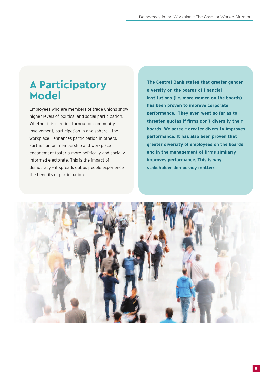#### **A Participatory Model**

Employees who are members of trade unions show higher levels of political and social participation. Whether it is election turnout or community involvement, participation in one sphere – the workplace – enhances participation in others. Further, union membership and workplace engagement foster a more politically and socially informed electorate. This is the impact of democracy – it spreads out as people experience the benefits of participation.

**The Central Bank stated that greater gender diversity on the boards of financial institutions (i.e. more women on the boards) has been proven to improve corporate performance. They even went so far as to threaten quotas if firms don't diversify their boards. We agree – greater diversity improves performance. It has also been proven that greater diversity of employees on the boards and in the management of firms similarly improves performance. This is why stakeholder democracy matters.**

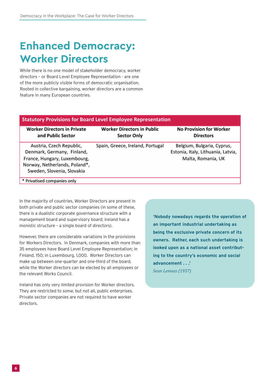# **Enhanced Democracy: Worker Directors**

While there is no one model of stakeholder democracy, worker directors – or Board Level Employee Representation - are one of the more publicly visible forms of democratic organisation. Rooted in collective bargaining, worker directors are a common feature in many European countries.

| <b>Statutory Provisions for Board Level Employee Representation</b>                                                                                   |                                                         |                                                                                        |  |
|-------------------------------------------------------------------------------------------------------------------------------------------------------|---------------------------------------------------------|----------------------------------------------------------------------------------------|--|
| <b>Worker Directors in Private</b><br>and Public Sector                                                                                               | <b>Worker Directors in Public</b><br><b>Sector Only</b> | <b>No Provision for Worker</b><br><b>Directors</b>                                     |  |
| Austria, Czech Republic,<br>Denmark, Germany, Finland,<br>France, Hungary, Luxembourg,<br>Norway, Netherlands, Poland*,<br>Sweden, Slovenia, Slovakia | Spain, Greece, Ireland, Portugal                        | Belgium, Bulgaria, Cyprus,<br>Estonia, Italy, Lithuania, Latvia,<br>Malta, Romania, UK |  |
| * Privatised companies only                                                                                                                           |                                                         |                                                                                        |  |

In the majority of countries, Worker Directors are present in both private and public sector companies (in some of these, there is a dualistic corporate governance structure with a management board and supervisory board; Ireland has a monistic structure – a single board of directors).

However, there are considerable variations in the provisions for Workers Directors. In Denmark, companies with more than 35 employees have Board Level Employee Representation; in Finland, 150; in Luxembourg, 1,000. Worker Directors can make up between one-quarter and one-third of the board, while the Worker directors can be elected by all employees or the relevant Works Council.

Ireland has only very limited provision for Worker directors. They are restricted to some, but not all, public enterprises. Private sector companies are not required to have worker directors.

**'Nobody nowadays regards the operation of an important industrial undertaking as being the exclusive private concern of its owners. Rather, each such undertaking is looked upon as a national asset contributing to the country's economic and social advancement . . .'** *Sean Lemass (1957)*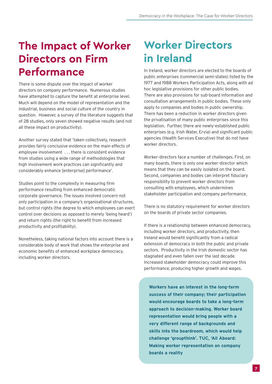## **The Impact of Worker Directors on Firm Performance**

There is some dispute over the impact of worker directors on company performance. Numerous studies have attempted to capture the benefit at enterprise level. Much will depend on the model of representation and the industrial, business and social culture of the country in question. However, a survey of the literature suggests that of 28 studies, only seven showed negative results (and not all these impact on productivity).

Another survey stated that 'taken collectively, research provides fairly conclusive evidence on the main effects of employee involvement . . . there is consistent evidence from studies using a wide range of methodologies that high involvement work practices can significantly and considerably enhance [enterprise] performance'.

Studies point to the complexity in measuring firm performance resulting from enhanced democratic corporate governance. The issues involved concern not only participation in a company's organisational structures, but control rights (the degree to which employees can exert control over decisions as opposed to merely 'being heard') and return rights (the right to benefit from increased productivity and profitability).

Nonetheless, taking national factors into account there is a considerable body of work that shows the enterprise and economic benefits of enhanced workplace democracy, including worker directors.

# **Worker Directors in Ireland**

In Ireland, worker directors are elected to the boards of public enterprises (commercial semi-states) listed by the 1977 and 1988 Workers Participation Acts, along with ad hoc legislative provisions for other public bodies. There are also provisions for sub-board information and consultation arrangements in public bodies. These only apply to companies and bodies in public ownership. There has been a reduction in worker directors given the privatisation of many public enterprises since this legislation. Further, there are newly-established public enterprises (e.g. Irish Water, Ervia) and significant public agencies (Health Services Executive) that do not have worker directors.

Worker-directors face a number of challenges. First, on many boards, there is only one worker-director which means that they can be easily isolated on the board. Second, companies and bodies can interpret fiduciary responsibility to prevent worker directors from consulting with employees, which undermines stakeholder participation and company performance.

There is no statutory requirement for worker directors on the boards of private sector companies.

If there is a relationship between enhanced democracy, including worker directors, and productivity, then Ireland would benefit significantly from a radical extension of democracy in both the public and private sectors. Productivity in the Irish domestic sector has stagnated and even fallen over the last decade. Increased stakeholder democracy could improve this performance, producing higher growth and wages.

**Workers have an interest in the long-term success of their company; their participation would encourage boards to take a long-term approach to decision-making. Worker board representation would bring people with a very different range of backgrounds and skills into the boardroom, which would help challenge 'groupthink'. TUC, 'All Aboard: Making worker representation on company boards a reality**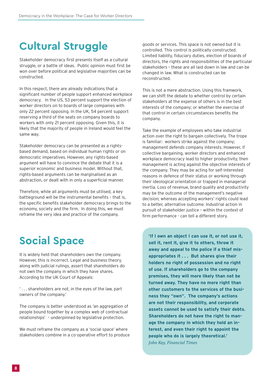# **Cultural Struggle**

Stakeholder democracy first presents itself as a cultural struggle, or a battle of ideas. Public opinion must first be won over before political and legislative majorities can be constructed.

In this respect, there are already indications that a significant number of people support enhanced workplace democracy. In the US, 53 percent support the election of worker directors on to boards of large companies with only 22 percent opposing. In the UK, 54 percent support reserving a third of the seats on company boards to workers with only 21 percent opposing. Given this, it is likely that the majority of people in Ireland would feel the same way.

Stakeholder democracy can be presented as a rightsbased demand, based on individual human rights or on democratic imperatives. However, any rights-based argument will have to convince the debate that it is a superior economic and business model. Without that, rights-based arguments can be marginalised as an abstraction, or dealt with in only a superficial manner.

Therefore, while all arguments must be utilised, a key battleground will be the instrumental benefits – that is, the specific benefits stakeholder democracy brings to the economy, society and the firm. In doing this, we must reframe the very idea and practice of the company.

# **Social Space**

It is widely held that shareholders own the company. However, this is incorrect. Legal and business theory, along with judicial rulings, assert that shareholders do not own the company in which they have shares. According to the UK Court of Appeals:

' . . . shareholders are not, in the eyes of the law, part owners of the company.'

The company is better understood as 'an aggregation of people bound together by a complex web of contractual relationships' – underpinned by legislative protection.

We must reframe the company as a 'social space' where stakeholders combine in a co-operative effort to produce goods or services. This space is not owned but it is controlled. This control is politically constructed. Limited liability, fiduciary duties, election of boards of directors, the rights and responsibilities of the particular stakeholders – these are all laid down in law and can be changed in law. What is constructed can be reconstructed.

This is not a mere abstraction. Using this framwork, we can shift the debate to whether control by certain stakeholders at the expense of others is in the best interests of the company; or whether the exercise of that control in certain circumstances benefits the company.

Take the example of employees who take industrial action over the right to bargain collectively. The trope is familiar: workers strike against the company; management defends company interests. However, if collective bargaining, worker directors and enhanced workplace democracy lead to higher productivity, then management is acting against the objective interests of the company. They may be acting for self-interested reasons in defence of their status or working through their ideological orientation or trapped in managerial inertia. Loss of revenue, brand quality and productivity may be the outcome of the management's negative decision; whereas accepting workers' rights could lead to a better, alternative outcome. Industrial action in pursuit of stakeholder justice – within the context of firm performance - can tell a different story.

**'If I own an object I can use it, or not use it, sell it, rent it, give it to others, throw it away and appeal to the police if a thief misappropriates it . . . But shares give their holders no right of possession and no right of use. If shareholders go to the company premises, they will more likely than not be turned away. They have no more right than other customers to the services of the business they "own". The company's actions are not their responsibility, and corporate assets cannot be used to satisfy their debts. Shareholders do not have the right to manage the company in which they hold an interest, and even their right to appoint the people who do is largely theoretical.'** *John Kay, Financial Times*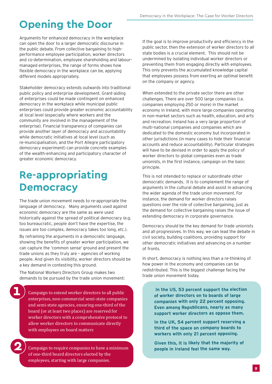# **Opening the Door**

Arguments for enhanced democracy in the workplace can open the door to a larger democratic discourse in the public debate. From collective bargaining to highperformance employee participation, worker directors and co-determination, employee shareholding and labourmanaged enterprises, the range of forms shows how flexible democracy in the workplace can be, applying different models appropriately.

Stakeholder democracy extends outwards into traditional public policy and enterprise development. Grant-aiding of enterprises could be made contingent on enhanced democracy in the workplace while municipal public enterprises could provide greater economic accountability at local level (especially where workers and the community are involved in the management of the enterprise). Financial transparency of companies can provide another layer of democracy and accountability while democratic initiatives at local level (such as re-municipalisation, and the Port Allegre participatory democracy experiment) can provide concrete examples of the wealth-enhancing and participatory character of greater economic democracy.

## **Re-appropriating Democracy**

The trade union movement needs to re-appropriate the language of democracy. Many arguments used against economic democracy are the same as were used historically against the spread of political democracy (e.g. too bureaucratic, people don't have the expertise, the issues are too complex, democracy takes too long, etc.).

By reframing the arguments in a democratic language, showing the benefits of greater worker participation, we can capture the 'common sense' ground and present the trade unions as they truly are – agencies of working people. And given its visibility, worker directors should be a key demand in contesting this ground.

The National Workers Directors Group makes two demands to be pursued by the trade union movement:

Campaign to extend worker directors to all public enterprises, non-commercial semi-state companies and semi-state agencies, ensuring one-third of the board (or at least two places) are reserved for worker directors with a comprehensive protocol to allow worker directors to communicate directly with employees on board matters

Campaign to require companies to have a minimum of one-third board directors elected by the employees, starting with large companies.

If the goal is to improve productivity and efficiency in the public sector, then the extension of worker directors to all state bodies is a crucial element. This should not be undermined by isolating individual worker directors or preventing them from engaging directly with employees. This only prevents the accumulated knowledge capital that employees possess from exerting an optimal benefit on the company or agency.

When extended to the private sector there are other challenges. There are over 500 large companies (i.e. companies employing 250 or more) in the market economy in Ireland, with more large companies operating in non-market sectors such as health, education, and arts and recreation. Ireland has a very large proportion of multi-national companies and companies which are dedicated to the domestic economy but incorporated in other jurisdictions (in many cases to hide their financial accounts and reduce accountability). Particular strategies will have to be devised in order to apply the policy of worker directors to global companies even as trade unionists, in the first instance, campaign on the basic principle.

This is not intended to replace or subordinate other democratic demands. It is to complement the range of arguments in the cultural debate and assist in advancing the wider agenda of the trade union movement. For instance, the demand for worker directors raises questions over the role of collective bargaining, just as the demand for collective bargaining raises the issue of extending democracy in corporate governance.

Democracy should be the key demand for trade unionists and all progressives. In this way, we can lead the debate in civil society, building coalitions, providing support for other democratic initiatives and advancing on a number of fronts.

In short, democracy is nothing less than a re-thinking of how power in the economy and companies can be redistributed. This is the biggest challenge facing the trade union movement today.

> **In the US, 53 percent support the election of worker directors on to boards of large companies with only 22 percent opposing. Even among Republicans, nearly as many support worker directors as oppose them.**

**In the UK, 54 percent support reserving <sup>a</sup> third of the space on company boards to workers with only 21 percent opposing.**

**Given this, it is likely that the majority of people in Ireland feel the same way.**

**2**

**1**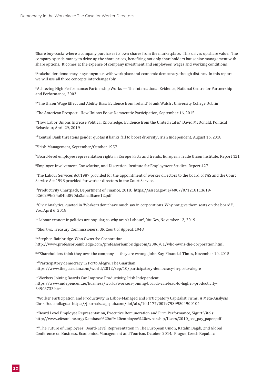i Share buy-back: where a company purchases its own shares from the marketplace. This drives up share value. The company spends money to drive up the share prices, benefiting not only shareholders but senior management with share options. It comes at the expense of company investment and employees' wages and working conditions.

 $^{\text{\tiny{\textsf{i}}}}$ Stakeholder democracy is synonymous with workplace and economic democracy, though distinct. In this report we will use all three concepts interchangeably.

 $^{\text{\tiny{III}}}$ Achieving High Performance: Partnership Works — The International Evidence, National Centre for Partnership and Performance, 2003

iv 'The Union Wage Effect and Ability Bias: Evidence from Ireland', Frank Walsh , University College Dublin

v The American Prospect: How Unions Boost Democratic Participation, September 16, 2015

vi 'How Labor Unions Increase Political Knowledge: Evidence from the United States', David McDonald, Political Behaviour, April 29, 2019

vii 'Central Bank threatens gender quotas if banks fail to boost diversity', Irish Independent, August 16, 2018

viii Irish Management, September/October 1957

ix Board-level employee representation rights in Europe Facts and trends, European Trade Union Institute, Report 121

x Employee Involvement, Consolation, and Discretion, Institute for Employment Studies, Report 427

xi The Labour Services Act 1987 provided for the appointment of worker directors to the board of FÁS and the Court Service Act 1998 provided for worker directors in the Court Service.

xii Productivity Chartpack, Department of Finance, 2018: https://assets.gov.ie/4007/071218113619- 0260299e24a04bd890da3abcdfbaee12.pdf

xiii Civic Analytics, quoted in 'Workers don't have much say in corporations. Why not give them seats on the board?', Vox, April 6, 2018

xiv Labour economic policies are popular, so why aren't Labour?, YouGov, November 12, 2019

xv Short vs. Treasury Commissioners, UK Court of Appeal, 1948

xvi Stephen Bainbridge, Who Owns the Corporation: http://www.professorbainbridge.com/professorbainbridgecom/2006/01/who-owns-the-corporation.html

xvii 'Shareholders think they own the company — they are wrong', John Kay, Financial Times, November 10, 2015

xviii Participatory democracy in Porto Alegre, The Guardian: https://www.theguardian.com/world/2012/sep/10/participatory-democracy-in-porto-alegre

xix Workers Joining Boards Can Improve Productivity, Irish Independent https://www.independent.ie/business/world/workers-joining-boards-can-lead-to-higher-productivity-34908733.html

xx Worker Participation and Productivity in Labor-Managed and Participatory Capitalist Firms: A Meta-Analysis Chris Doucouliagos: https://journals.sagepub.com/doi/abs/10.1177/001979399504900104

<sup>xxi</sup>Board Level Employee Representation, Executive Remuneration and Firm Performance, Sigurt Vitols: http://www.efesonline.org/Database%20of%20employee%20ownership/Users/2010\_ceo\_pay\_paper.pdf

xxii 'The Future of Employees' Board-Level Representation in The European Union', Katalin Bagdi, 2nd Global Conference on Business, Economics, Management and Tourism, October, 2014, Prague, Czech Republic